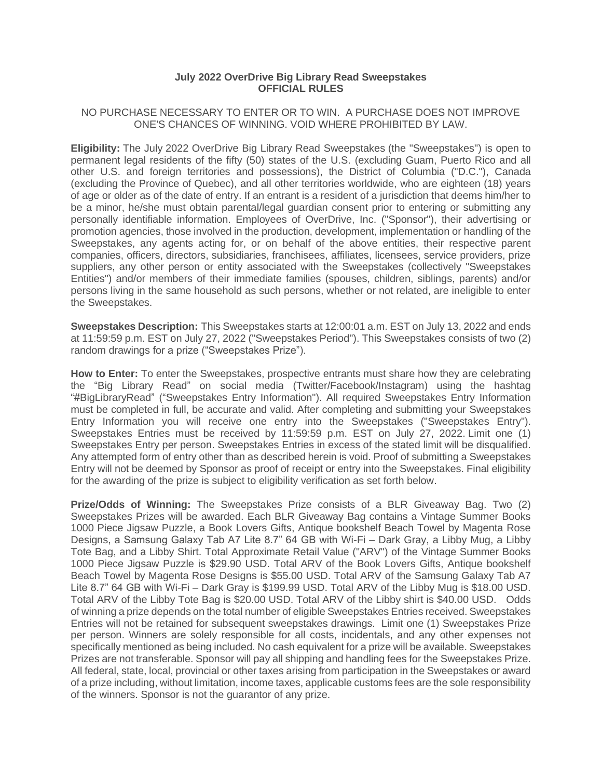## **July 2022 OverDrive Big Library Read Sweepstakes OFFICIAL RULES**

## NO PURCHASE NECESSARY TO ENTER OR TO WIN. A PURCHASE DOES NOT IMPROVE ONE'S CHANCES OF WINNING. VOID WHERE PROHIBITED BY LAW.

**Eligibility:** The July 2022 OverDrive Big Library Read Sweepstakes (the "Sweepstakes") is open to permanent legal residents of the fifty (50) states of the U.S. (excluding Guam, Puerto Rico and all other U.S. and foreign territories and possessions), the District of Columbia ("D.C."), Canada (excluding the Province of Quebec), and all other territories worldwide, who are eighteen (18) years of age or older as of the date of entry. If an entrant is a resident of a jurisdiction that deems him/her to be a minor, he/she must obtain parental/legal guardian consent prior to entering or submitting any personally identifiable information. Employees of OverDrive, Inc. ("Sponsor"), their advertising or promotion agencies, those involved in the production, development, implementation or handling of the Sweepstakes, any agents acting for, or on behalf of the above entities, their respective parent companies, officers, directors, subsidiaries, franchisees, affiliates, licensees, service providers, prize suppliers, any other person or entity associated with the Sweepstakes (collectively "Sweepstakes Entities") and/or members of their immediate families (spouses, children, siblings, parents) and/or persons living in the same household as such persons, whether or not related, are ineligible to enter the Sweepstakes.

**Sweepstakes Description:** This Sweepstakes starts at 12:00:01 a.m. EST on July 13, 2022 and ends at 11:59:59 p.m. EST on July 27, 2022 ("Sweepstakes Period"). This Sweepstakes consists of two (2) random drawings for a prize ("Sweepstakes Prize").

**How to Enter:** To enter the Sweepstakes, prospective entrants must share how they are celebrating the "Big Library Read" on social media (Twitter/Facebook/Instagram) using the hashtag "#BigLibraryRead" ("Sweepstakes Entry Information"). All required Sweepstakes Entry Information must be completed in full, be accurate and valid. After completing and submitting your Sweepstakes Entry Information you will receive one entry into the Sweepstakes ("Sweepstakes Entry"). Sweepstakes Entries must be received by 11:59:59 p.m. EST on July 27, 2022. Limit one (1) Sweepstakes Entry per person. Sweepstakes Entries in excess of the stated limit will be disqualified. Any attempted form of entry other than as described herein is void. Proof of submitting a Sweepstakes Entry will not be deemed by Sponsor as proof of receipt or entry into the Sweepstakes. Final eligibility for the awarding of the prize is subject to eligibility verification as set forth below.

**Prize/Odds of Winning:** The Sweepstakes Prize consists of a BLR Giveaway Bag. Two (2) Sweepstakes Prizes will be awarded. Each BLR Giveaway Bag contains a Vintage Summer Books 1000 Piece Jigsaw Puzzle, a Book Lovers Gifts, Antique bookshelf Beach Towel by Magenta Rose Designs, a Samsung Galaxy Tab A7 Lite 8.7" 64 GB with Wi-Fi – Dark Gray, a Libby Mug, a Libby Tote Bag, and a Libby Shirt. Total Approximate Retail Value ("ARV") of the Vintage Summer Books 1000 Piece Jigsaw Puzzle is \$29.90 USD. Total ARV of the Book Lovers Gifts, Antique bookshelf Beach Towel by Magenta Rose Designs is \$55.00 USD. Total ARV of the Samsung Galaxy Tab A7 Lite 8.7" 64 GB with Wi-Fi – Dark Gray is \$199.99 USD. Total ARV of the Libby Mug is \$18.00 USD. Total ARV of the Libby Tote Bag is \$20.00 USD. Total ARV of the Libby shirt is \$40.00 USD. Odds of winning a prize depends on the total number of eligible Sweepstakes Entries received. Sweepstakes Entries will not be retained for subsequent sweepstakes drawings. Limit one (1) Sweepstakes Prize per person. Winners are solely responsible for all costs, incidentals, and any other expenses not specifically mentioned as being included. No cash equivalent for a prize will be available. Sweepstakes Prizes are not transferable. Sponsor will pay all shipping and handling fees for the Sweepstakes Prize. All federal, state, local, provincial or other taxes arising from participation in the Sweepstakes or award of a prize including, without limitation, income taxes, applicable customs fees are the sole responsibility of the winners. Sponsor is not the guarantor of any prize.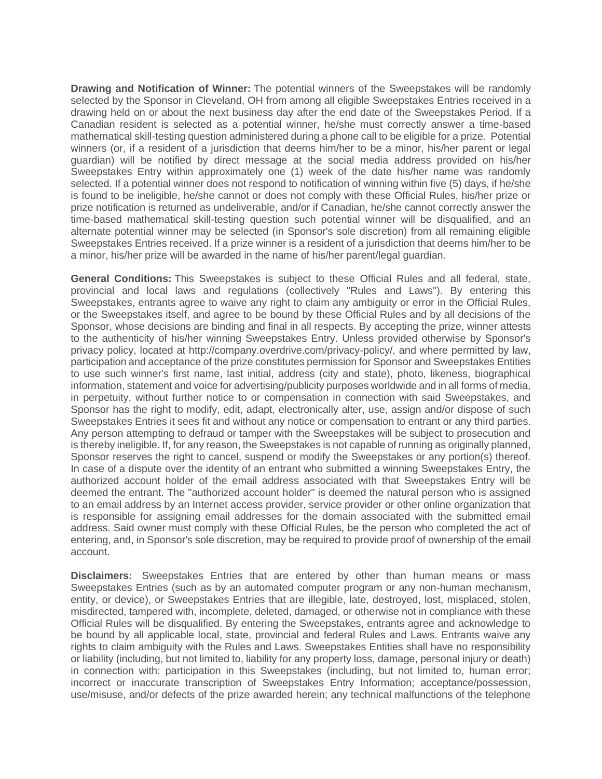**Drawing and Notification of Winner:** The potential winners of the Sweepstakes will be randomly selected by the Sponsor in Cleveland, OH from among all eligible Sweepstakes Entries received in a drawing held on or about the next business day after the end date of the Sweepstakes Period. If a Canadian resident is selected as a potential winner, he/she must correctly answer a time-based mathematical skill-testing question administered during a phone call to be eligible for a prize. Potential winners (or, if a resident of a jurisdiction that deems him/her to be a minor, his/her parent or legal guardian) will be notified by direct message at the social media address provided on his/her Sweepstakes Entry within approximately one (1) week of the date his/her name was randomly selected. If a potential winner does not respond to notification of winning within five (5) days, if he/she is found to be ineligible, he/she cannot or does not comply with these Official Rules, his/her prize or prize notification is returned as undeliverable, and/or if Canadian, he/she cannot correctly answer the time-based mathematical skill-testing question such potential winner will be disqualified, and an alternate potential winner may be selected (in Sponsor's sole discretion) from all remaining eligible Sweepstakes Entries received. If a prize winner is a resident of a jurisdiction that deems him/her to be a minor, his/her prize will be awarded in the name of his/her parent/legal guardian.

**General Conditions:** This Sweepstakes is subject to these Official Rules and all federal, state, provincial and local laws and regulations (collectively "Rules and Laws"). By entering this Sweepstakes, entrants agree to waive any right to claim any ambiguity or error in the Official Rules, or the Sweepstakes itself, and agree to be bound by these Official Rules and by all decisions of the Sponsor, whose decisions are binding and final in all respects. By accepting the prize, winner attests to the authenticity of his/her winning Sweepstakes Entry. Unless provided otherwise by Sponsor's privacy policy, located at http://company.overdrive.com/privacy-policy/, and where permitted by law, participation and acceptance of the prize constitutes permission for Sponsor and Sweepstakes Entities to use such winner's first name, last initial, address (city and state), photo, likeness, biographical information, statement and voice for advertising/publicity purposes worldwide and in all forms of media, in perpetuity, without further notice to or compensation in connection with said Sweepstakes, and Sponsor has the right to modify, edit, adapt, electronically alter, use, assign and/or dispose of such Sweepstakes Entries it sees fit and without any notice or compensation to entrant or any third parties. Any person attempting to defraud or tamper with the Sweepstakes will be subject to prosecution and is thereby ineligible. If, for any reason, the Sweepstakes is not capable of running as originally planned, Sponsor reserves the right to cancel, suspend or modify the Sweepstakes or any portion(s) thereof. In case of a dispute over the identity of an entrant who submitted a winning Sweepstakes Entry, the authorized account holder of the email address associated with that Sweepstakes Entry will be deemed the entrant. The "authorized account holder" is deemed the natural person who is assigned to an email address by an Internet access provider, service provider or other online organization that is responsible for assigning email addresses for the domain associated with the submitted email address. Said owner must comply with these Official Rules, be the person who completed the act of entering, and, in Sponsor's sole discretion, may be required to provide proof of ownership of the email account.

**Disclaimers:** Sweepstakes Entries that are entered by other than human means or mass Sweepstakes Entries (such as by an automated computer program or any non-human mechanism, entity, or device), or Sweepstakes Entries that are illegible, late, destroyed, lost, misplaced, stolen, misdirected, tampered with, incomplete, deleted, damaged, or otherwise not in compliance with these Official Rules will be disqualified. By entering the Sweepstakes, entrants agree and acknowledge to be bound by all applicable local, state, provincial and federal Rules and Laws. Entrants waive any rights to claim ambiguity with the Rules and Laws. Sweepstakes Entities shall have no responsibility or liability (including, but not limited to, liability for any property loss, damage, personal injury or death) in connection with: participation in this Sweepstakes (including, but not limited to, human error; incorrect or inaccurate transcription of Sweepstakes Entry Information; acceptance/possession, use/misuse, and/or defects of the prize awarded herein; any technical malfunctions of the telephone